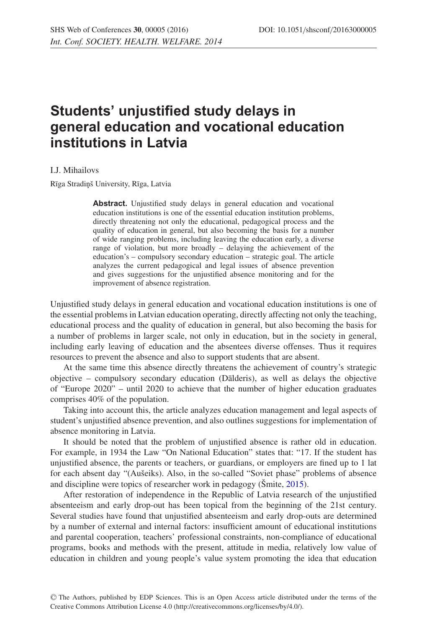# **Students' unjustified study delays in general education and vocational education institutions in Latvia**

#### I.J. Mihailovs

Rīga Stradiņš University, Rīga, Latvia

**Abstract.** Unjustified study delays in general education and vocational education institutions is one of the essential education institution problems, directly threatening not only the educational, pedagogical process and the quality of education in general, but also becoming the basis for a number of wide ranging problems, including leaving the education early, a diverse range of violation, but more broadly – delaying the achievement of the education's – compulsory secondary education – strategic goal. The article analyzes the current pedagogical and legal issues of absence prevention and gives suggestions for the unjustified absence monitoring and for the improvement of absence registration.

Unjustified study delays in general education and vocational education institutions is one of the essential problems in Latvian education operating, directly affecting not only the teaching, educational process and the quality of education in general, but also becoming the basis for a number of problems in larger scale, not only in education, but in the society in general, including early leaving of education and the absentees diverse offenses. Thus it requires resources to prevent the absence and also to support students that are absent.

At the same time this absence directly threatens the achievement of country's strategic  $objective - compulsory secondary education (Dālderis), as well as delays the objective$ of "Europe 2020" – until 2020 to achieve that the number of higher education graduates comprises 40% of the population.

Taking into account this, the article analyzes education management and legal aspects of student's unjustified absence prevention, and also outlines suggestions for implementation of absence monitoring in Latvia.

It should be noted that the problem of unjustified absence is rather old in education. For example, in 1934 the Law "On National Education" states that: "17. If the student has unjustified absence, the parents or teachers, or guardians, or employers are fined up to 1 lat for each absent day "(Aušeiks). Also, in the so-called "Soviet phase" problems of absence and discipline were topics of researcher work in pedagogy (Šmite, [2015\)](#page-4-0).

After restoration of independence in the Republic of Latvia research of the unjustified absenteeism and early drop-out has been topical from the beginning of the 21st century. Several studies have found that unjustified absenteeism and early drop-outs are determined by a number of external and internal factors: insufficient amount of educational institutions and parental cooperation, teachers' professional constraints, non-compliance of educational programs, books and methods with the present, attitude in media, relatively low value of education in children and young people's value system promoting the idea that education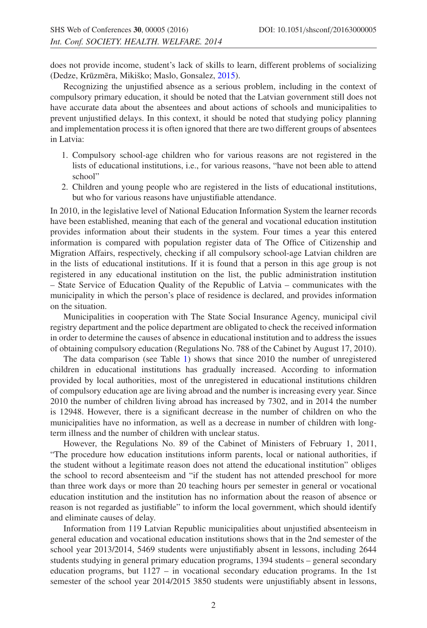does not provide income, student's lack of skills to learn, different problems of socializing (Dedze, Krūzmēra, Mikiško; Maslo, Gonsalez, [2015\)](#page-4-1).

Recognizing the unjustified absence as a serious problem, including in the context of compulsory primary education, it should be noted that the Latvian government still does not have accurate data about the absentees and about actions of schools and municipalities to prevent unjustified delays. In this context, it should be noted that studying policy planning and implementation process it is often ignored that there are two different groups of absentees in Latvia:

- 1. Compulsory school-age children who for various reasons are not registered in the lists of educational institutions, i.e., for various reasons, "have not been able to attend school"
- 2. Children and young people who are registered in the lists of educational institutions, but who for various reasons have unjustifiable attendance.

In 2010, in the legislative level of National Education Information System the learner records have been established, meaning that each of the general and vocational education institution provides information about their students in the system. Four times a year this entered information is compared with population register data of The Office of Citizenship and Migration Affairs, respectively, checking if all compulsory school-age Latvian children are in the lists of educational institutions. If it is found that a person in this age group is not registered in any educational institution on the list, the public administration institution – State Service of Education Quality of the Republic of Latvia – communicates with the municipality in which the person's place of residence is declared, and provides information on the situation.

Municipalities in cooperation with The State Social Insurance Agency, municipal civil registry department and the police department are obligated to check the received information in order to determine the causes of absence in educational institution and to address the issues of obtaining compulsory education (Regulations No. 788 of the Cabinet by August 17, 2010).

The data comparison (see Table [1\)](#page-2-0) shows that since 2010 the number of unregistered children in educational institutions has gradually increased. According to information provided by local authorities, most of the unregistered in educational institutions children of compulsory education age are living abroad and the number is increasing every year. Since 2010 the number of children living abroad has increased by 7302, and in 2014 the number is 12948. However, there is a significant decrease in the number of children on who the municipalities have no information, as well as a decrease in number of children with longterm illness and the number of children with unclear status.

However, the Regulations No. 89 of the Cabinet of Ministers of February 1, 2011, "The procedure how education institutions inform parents, local or national authorities, if the student without a legitimate reason does not attend the educational institution" obliges the school to record absenteeism and "if the student has not attended preschool for more than three work days or more than 20 teaching hours per semester in general or vocational education institution and the institution has no information about the reason of absence or reason is not regarded as justifiable" to inform the local government, which should identify and eliminate causes of delay.

Information from 119 Latvian Republic municipalities about unjustified absenteeism in general education and vocational education institutions shows that in the 2nd semester of the school year 2013/2014, 5469 students were unjustifiably absent in lessons, including 2644 students studying in general primary education programs, 1394 students – general secondary education programs, but  $1127 - in$  vocational secondary education programs. In the 1st semester of the school year 2014/2015 3850 students were unjustifiably absent in lessons,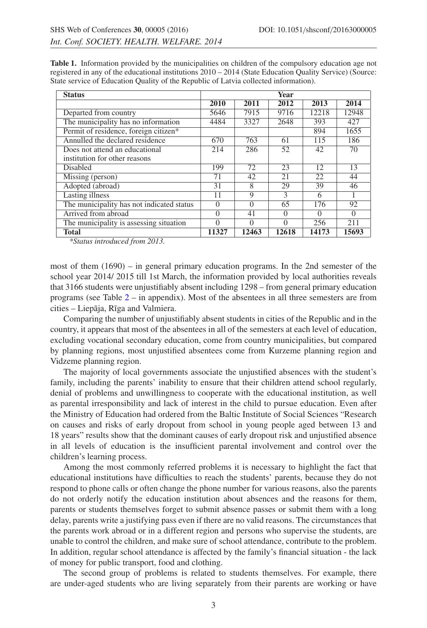<span id="page-2-0"></span>**Table 1.** Information provided by the municipalities on children of the compulsory education age not registered in any of the educational institutions 2010 – 2014 (State Education Quality Service) (Source: State service of Education Quality of the Republic of Latvia collected information).

| <b>Status</b>                             | <b>Year</b> |             |          |          |          |
|-------------------------------------------|-------------|-------------|----------|----------|----------|
|                                           | 2010        | 2011        | 2012     | 2013     | 2014     |
| Departed from country                     | 5646        | 7915        | 9716     | 12218    | 12948    |
| The municipality has no information       | 4484        | 3327        | 2648     | 393      | 427      |
| Permit of residence, foreign citizen*     |             |             |          | 894      | 1655     |
| Annulled the declared residence           | 670         | 763         | 61       | 115      | 186      |
| Does not attend an educational            | 214         | 286         | 52       | 42       | 70       |
| institution for other reasons             |             |             |          |          |          |
| <b>Disabled</b>                           | 199         | 72          | 23       | 12       | 13       |
| Missing (person)                          | 71          | 42          | 21       | 22.      | 44       |
| Adopted (abroad)                          | 31          | 8           | 29       | 39       | 46       |
| Lasting illness                           | 11          | $\mathbf Q$ | 3        | 6        |          |
| The municipality has not indicated status | $\Omega$    | $\Omega$    | 65       | 176      | 92       |
| Arrived from abroad                       | $\Omega$    | 41          | $\Omega$ | $\Omega$ | $\Omega$ |
| The municipality is assessing situation   | $\theta$    | $\Omega$    | $\theta$ | 256      | 211      |
| <b>Total</b>                              | 11327       | 12463       | 12618    | 14173    | 15693    |

*\*Status introduced from 2013.*

most of them (1690) – in general primary education programs. In the 2nd semester of the school year 2014/ 2015 till 1st March, the information provided by local authorities reveals that 3166 students were unjustifiably absent including 1298 – from general primary education programs (see Table  $2 - in$  $2 - in$  appendix). Most of the absentees in all three semesters are from cities – Liepāja, Rīga and Valmiera.

Comparing the number of unjustifiably absent students in cities of the Republic and in the country, it appears that most of the absentees in all of the semesters at each level of education, excluding vocational secondary education, come from country municipalities, but compared by planning regions, most unjustified absentees come from Kurzeme planning region and Vidzeme planning region.

The majority of local governments associate the unjustified absences with the student's family, including the parents' inability to ensure that their children attend school regularly, denial of problems and unwillingness to cooperate with the educational institution, as well as parental irresponsibility and lack of interest in the child to pursue education. Even after the Ministry of Education had ordered from the Baltic Institute of Social Sciences "Research on causes and risks of early dropout from school in young people aged between 13 and 18 years" results show that the dominant causes of early dropout risk and unjustified absence in all levels of education is the insufficient parental involvement and control over the children's learning process.

Among the most commonly referred problems it is necessary to highlight the fact that educational institutions have difficulties to reach the students' parents, because they do not respond to phone calls or often change the phone number for various reasons, also the parents do not orderly notify the education institution about absences and the reasons for them, parents or students themselves forget to submit absence passes or submit them with a long delay, parents write a justifying pass even if there are no valid reasons. The circumstances that the parents work abroad or in a different region and persons who supervise the students, are unable to control the children, and make sure of school attendance, contribute to the problem. In addition, regular school attendance is affected by the family's financial situation - the lack of money for public transport, food and clothing.

The second group of problems is related to students themselves. For example, there are under-aged students who are living separately from their parents are working or have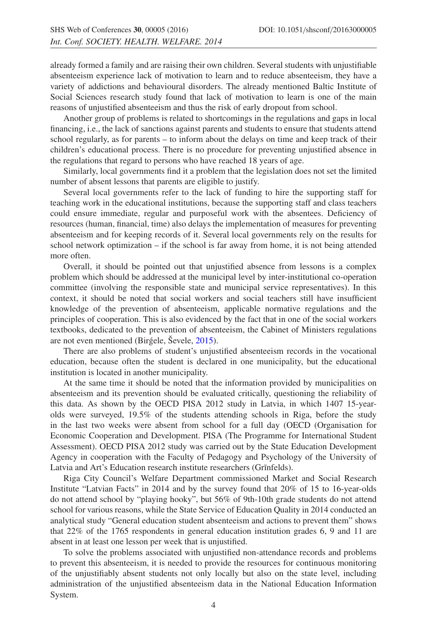already formed a family and are raising their own children. Several students with unjustifiable absenteeism experience lack of motivation to learn and to reduce absenteeism, they have a variety of addictions and behavioural disorders. The already mentioned Baltic Institute of Social Sciences research study found that lack of motivation to learn is one of the main reasons of unjustified absenteeism and thus the risk of early dropout from school.

Another group of problems is related to shortcomings in the regulations and gaps in local financing, i.e., the lack of sanctions against parents and students to ensure that students attend school regularly, as for parents – to inform about the delays on time and keep track of their children's educational process. There is no procedure for preventing unjustified absence in the regulations that regard to persons who have reached 18 years of age.

Similarly, local governments find it a problem that the legislation does not set the limited number of absent lessons that parents are eligible to justify.

Several local governments refer to the lack of funding to hire the supporting staff for teaching work in the educational institutions, because the supporting staff and class teachers could ensure immediate, regular and purposeful work with the absentees. Deficiency of resources (human, financial, time) also delays the implementation of measures for preventing absenteeism and for keeping records of it. Several local governments rely on the results for school network optimization – if the school is far away from home, it is not being attended more often.

Overall, it should be pointed out that unjustified absence from lessons is a complex problem which should be addressed at the municipal level by inter-institutional co-operation committee (involving the responsible state and municipal service representatives). In this context, it should be noted that social workers and social teachers still have insufficient knowledge of the prevention of absenteeism, applicable normative regulations and the principles of cooperation. This is also evidenced by the fact that in one of the social workers textbooks, dedicated to the prevention of absenteeism, the Cabinet of Ministers regulations are not even mentioned (Birgele, Ševele, [2015\)](#page-4-2).

There are also problems of student's unjustified absenteeism records in the vocational education, because often the student is declared in one municipality, but the educational institution is located in another municipality.

At the same time it should be noted that the information provided by municipalities on absenteeism and its prevention should be evaluated critically, questioning the reliability of this data. As shown by the OECD PISA 2012 study in Latvia, in which 1407 15-yearolds were surveyed, 19.5% of the students attending schools in Riga, before the study in the last two weeks were absent from school for a full day (OECD (Organisation for Economic Cooperation and Development. PISA (The Programme for International Student Assessment). OECD PISA 2012 study was carried out by the State Education Development Agency in cooperation with the Faculty of Pedagogy and Psychology of the University of Latvia and Art's Education research institute researchers (Grīnfelds).

Riga City Council's Welfare Department commissioned Market and Social Research Institute "Latvian Facts" in 2014 and by the survey found that 20% of 15 to 16-year-olds do not attend school by "playing hooky", but 56% of 9th-10th grade students do not attend school for various reasons, while the State Service of Education Quality in 2014 conducted an analytical study "General education student absenteeism and actions to prevent them" shows that 22% of the 1765 respondents in general education institution grades 6, 9 and 11 are absent in at least one lesson per week that is unjustified.

To solve the problems associated with unjustified non-attendance records and problems to prevent this absenteeism, it is needed to provide the resources for continuous monitoring of the unjustifiably absent students not only locally but also on the state level, including administration of the unjustified absenteeism data in the National Education Information System.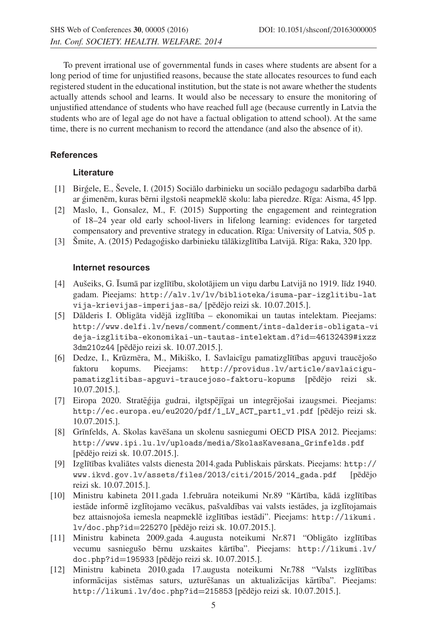To prevent irrational use of governmental funds in cases where students are absent for a long period of time for unjustified reasons, because the state allocates resources to fund each registered student in the educational institution, but the state is not aware whether the students actually attends school and learns. It would also be necessary to ensure the monitoring of unjustified attendance of students who have reached full age (because currently in Latvia the students who are of legal age do not have a factual obligation to attend school). At the same time, there is no current mechanism to record the attendance (and also the absence of it).

### **References**

#### **Literature**

- <span id="page-4-2"></span> $[1]$  Birgele, E., Ševele, I. (2015) Sociālo darbinieku un sociālo pedagogu sadarbība darbā ar gimenēm, kuras bērni ilgstoši neapmeklē skolu: laba pieredze. Rīga: Aisma, 45 lpp.
- <span id="page-4-1"></span>[2] Maslo, I., Gonsalez, M., F. (2015) Supporting the engagement and reintegration of 18–24 year old early school-livers in lifelong learning: evidences for targeted compensatory and preventive strategy in education. R $\bar{q}$ ga: University of Latvia, 505 p.
- <span id="page-4-0"></span>[3] Šmite, A. (2015) Pedagogisko darbinieku tālākizglītība Latvijā. Rīga: Raka, 320 lpp.

#### **Internet resources**

- [4] Aušeiks, G. Īsumā par izglītību, skolotājiem un viņu darbu Latvijā no 1919. līdz 1940. gadam. Pieejams: http://alv.lv/lv/biblioteka/isuma-par-izglitibu-lat vija-krievijas-imperijas-sa/ [pēdējo reizi sk. 10.07.2015.].
- [5] Dālderis I. Obligāta vidējā izglītība ekonomikai un tautas intelektam. Pieejams: http://www.delfi.lv/news/comment/comment/ints-dalderis-obligata-vi deja-izglitiba-ekonomikai-un-tautas-intelektam.d?id=46132439#ixzz 3dm210z44 [pēdējo reizi sk. 10.07.2015.].
- [6] Dedze, I., Krūzmēra, M., Mikiško, I. Savlaicīgu pamatizglītības apguvi traucējošo faktoru kopums. Pieejams: http://providus.lv/article/savlaicigupamatizglitibas-apguvi-traucejoso-faktoru-kopums [pēdējo reizi sk. 10.07.2015.].
- [7] Eiropa 2020. Stratēģija gudrai, ilgtspējīgai un integrējošai izaugsmei. Pieejams: http://ec.europa.eu/eu2020/pdf/1\_LV\_ACT\_part1\_v1.pdf [pēdējo reizi sk. 10.07.2015.].
- [8] Grīnfelds, A. Skolas kavēšana un skolenu sasniegumi OECD PISA 2012. Pieejams: http://www.ipi.lu.lv/uploads/media/SkolasKavesana\_Grinfelds.pdf [pēdējo reizi sk. 10.07.2015.].
- [9] Izglītības kvaliātes valsts dienesta 2014.gada Publiskais pārskats. Pieejams: http:// www.ikvd.gov.lv/assets/files/2013/citi/2015/2014\_gada.pdf [pēdējo reizi sk. 10.07.2015.].
- [10] Ministru kabineta 2011.gada 1.februāra noteikumi Nr.89 "Kārtība, kādā izglītības iestāde informē izglītojamo vecākus, pašvaldības vai valsts iestādes, ja izglītojamais bez attaisnojoša iemesla neapmeklē izglītības iestādi". Pieejams: http://likumi. lv/doc.php?id=225270 [pēdējo reizi sk. 10.07.2015.].
- [11] Ministru kabineta 2009.gada 4.augusta noteikumi Nr.871 "Obligāto izglītības vecumu sasniegušo bērnu uzskaites kārtība". Pieejams: http://likumi.lv/ doc.php?id=195933 [pēdējo reizi sk. 10.07.2015.].
- [12] Ministru kabineta 2010.gada 17.augusta noteikumi Nr.788 "Valsts izglītības informācijas sistēmas saturs, uzturēšanas un aktualizācijas kārtība". Pieejams: http://likumi.lv/doc.php?id=215853 [pēdējo reizi sk. 10.07.2015.].